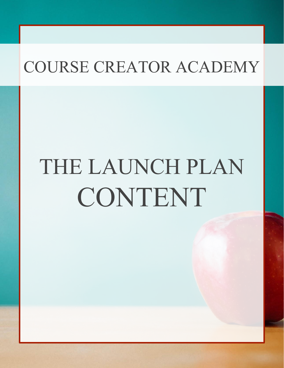# THE LAUNCH PLAN CONTENT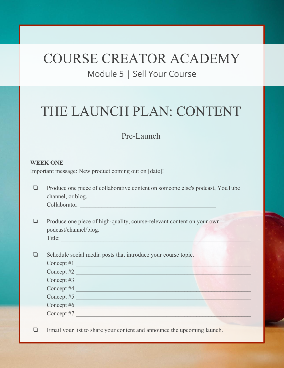### Module 5 | Sell Your Course

## THE LAUNCH PLAN: CONTENT

### Pre-Launch

#### **WEEK ONE**

Important message: New product coming out on [date]!

- ❏ Produce one piece of collaborative content on someone else's podcast, YouTube channel, or blog. Collaborator: \_\_\_\_\_\_\_\_\_\_\_\_\_\_\_\_\_\_\_\_\_\_\_\_\_\_\_\_\_\_\_\_\_\_\_\_\_\_\_\_\_\_\_\_\_
- ❏ Produce one piece of high-quality, course-relevant content on your own podcast/channel/blog. Title:
- ❏ Schedule social media posts that introduce your course topic.  $\text{Concept #1}$ Concept #2 Concept #3 Concept #4 Concept #5 Concept #6 Concept #7

❏ Email your list to share your content and announce the upcoming launch.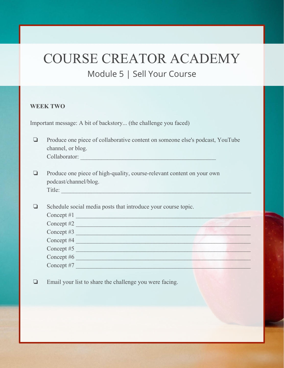## COURSE CREATOR ACADEMY Module 5 | Sell Your Course

#### **WEEK TWO**

Important message: A bit of backstory... (the challenge you faced)

- ❏ Produce one piece of collaborative content on someone else's podcast, YouTube channel, or blog. Collaborator: \_\_\_\_\_\_\_\_\_\_\_\_\_\_\_\_\_\_\_\_\_\_\_\_\_\_\_\_\_\_\_\_\_\_\_\_\_\_\_\_\_\_\_\_\_
- ❏ Produce one piece of high-quality, course-relevant content on your own podcast/channel/blog. Title:

| Schedule social media posts that introduce your course topic. |  |  |  |
|---------------------------------------------------------------|--|--|--|
| Concept #1                                                    |  |  |  |
| Concept #2                                                    |  |  |  |
| Concept $#3$                                                  |  |  |  |
| Concept #4                                                    |  |  |  |
| Concept #5                                                    |  |  |  |
| Concept #6                                                    |  |  |  |
| Concept #7                                                    |  |  |  |
|                                                               |  |  |  |

❏ Email your list to share the challenge you were facing.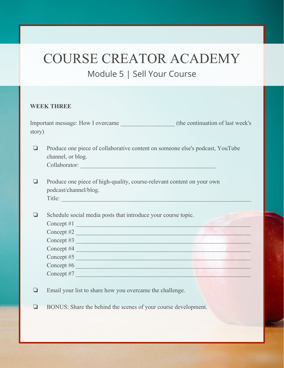### Module 5 | Sell Your Course

#### **WEEK THREE**

| Important message: How I overcame | (the continuation of last week's) |
|-----------------------------------|-----------------------------------|
| story)                            |                                   |

❏ Produce one piece of collaborative content on someone else's podcast, YouTube channel, or blog. Collaborator:

❏ Produce one piece of high-quality, course-relevant content on your own podcast/channel/blog. Title:

❏ Schedule social media posts that introduce your course topic.

| Concept $#1$ |  |  |
|--------------|--|--|
| Concept #2   |  |  |
| Concept #3   |  |  |
| Concept #4   |  |  |
| Concept #5   |  |  |
| Concept #6   |  |  |
| Concept #7   |  |  |

- ❏ Email your list to share how you overcame the challenge.
- ❏ BONUS: Share the behind the scenes of your course development.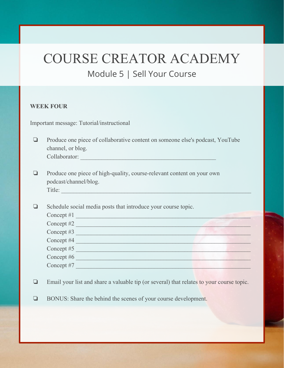### Module 5 | Sell Your Course

#### **WEEK FOUR**

Important message: Tutorial/instructional

- ❏ Produce one piece of collaborative content on someone else's podcast, YouTube channel, or blog. Collaborator: \_\_\_\_\_\_\_\_\_\_\_\_\_\_\_\_\_\_\_\_\_\_\_\_\_\_\_\_\_\_\_\_\_\_\_\_\_\_\_\_\_\_\_\_\_
- ❏ Produce one piece of high-quality, course-relevant content on your own podcast/channel/blog. Title:

❏ Schedule social media posts that introduce your course topic. Concept #1 \_\_\_\_\_\_\_\_\_\_\_\_\_\_\_\_\_\_\_\_\_\_\_\_\_\_\_\_\_\_\_\_\_\_\_\_\_\_\_\_\_\_\_\_\_\_\_\_\_\_\_\_\_\_\_\_\_\_ Concept #2 Concept #3 Concept #4 Concept #5 Concept #6 Concept #7

- ❏ Email your list and share a valuable tip (or several) that relates to your course topic.
- ❏ BONUS: Share the behind the scenes of your course development.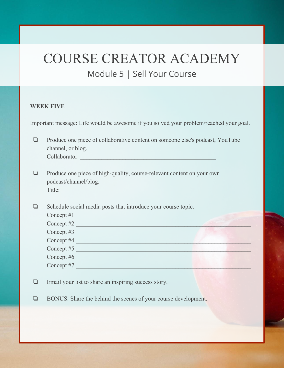## COURSE CREATOR ACADEMY Module 5 | Sell Your Course

#### **WEEK FIVE**

Important message: Life would be awesome if you solved your problem/reached your goal.

❏ Produce one piece of collaborative content on someone else's podcast, YouTube channel, or blog. Collaborator:

❏ Produce one piece of high-quality, course-relevant content on your own podcast/channel/blog. Title:

❏ Schedule social media posts that introduce your course topic. Concept #1 \_\_\_\_\_\_\_\_\_\_\_\_\_\_\_\_\_\_\_\_\_\_\_\_\_\_\_\_\_\_\_\_\_\_\_\_\_\_\_\_\_\_\_\_\_\_\_\_\_\_\_\_\_\_\_\_\_\_ Concept #2 Concept #3 Concept #4 Concept #5 Concept #6 Concept #7

- ❏ Email your list to share an inspiring success story.
- ❏ BONUS: Share the behind the scenes of your course development.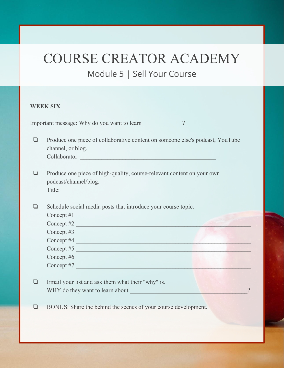### Module 5 | Sell Your Course

#### **WEEK SIX**

Important message: Why do you want to learn 2

- ❏ Produce one piece of collaborative content on someone else's podcast, YouTube channel, or blog. Collaborator: \_\_\_\_\_\_\_\_\_\_\_\_\_\_\_\_\_\_\_\_\_\_\_\_\_\_\_\_\_\_\_\_\_\_\_\_\_\_\_\_\_\_\_\_\_
- ❏ Produce one piece of high-quality, course-relevant content on your own podcast/channel/blog. Title:

❏ Schedule social media posts that introduce your course topic. Concept #1 \_\_\_\_\_\_\_\_\_\_\_\_\_\_\_\_\_\_\_\_\_\_\_\_\_\_\_\_\_\_\_\_\_\_\_\_\_\_\_\_\_\_\_\_\_\_\_\_\_\_\_\_\_\_\_\_\_\_ Concept #2 Concept #3 Concept #4 Concept #5 Concept #6 Concept #7

- ❏ Email your list and ask them what their "why" is. WHY do they want to learn about 2008 and 2008 and 2008 and 2008 and 2008 and 2008 and 2008 and 2008 and 2008 and 2008 and 2008 and 2008 and 2008 and 2008 and 2008 and 2008 and 2008 and 2008 and 2008 and 2008 and 2008 and 2
- ❏ BONUS: Share the behind the scenes of your course development.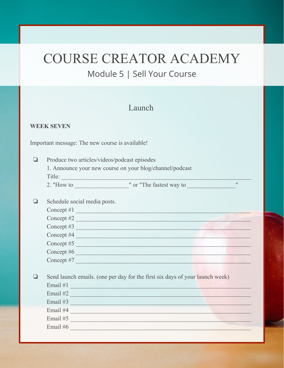### Module 5 | Sell Your Course

### Launch

#### **WEEK SEVEN**

Important message: The new course is available!

Produce two articles/videos/podcast episodes  $\Box$ 

> 1. Announce your new course on your blog/channel/podcast Title:

 $\mathbf{H}$ 

|              | Schedule social media posts. |  |  |
|--------------|------------------------------|--|--|
| Concept $#1$ |                              |  |  |
| Concept $#2$ |                              |  |  |
| Concept $#3$ |                              |  |  |
| Concept #4   |                              |  |  |
| Concept #5   |                              |  |  |
| Concept #6   |                              |  |  |
| Concept #7   |                              |  |  |
|              |                              |  |  |

Send launch emails. (one per day for the first six days of your launch week)  $\Box$ Email  $#1$ Email  $#2$ Email  $#3$ Email #4

Email #5

Email #6